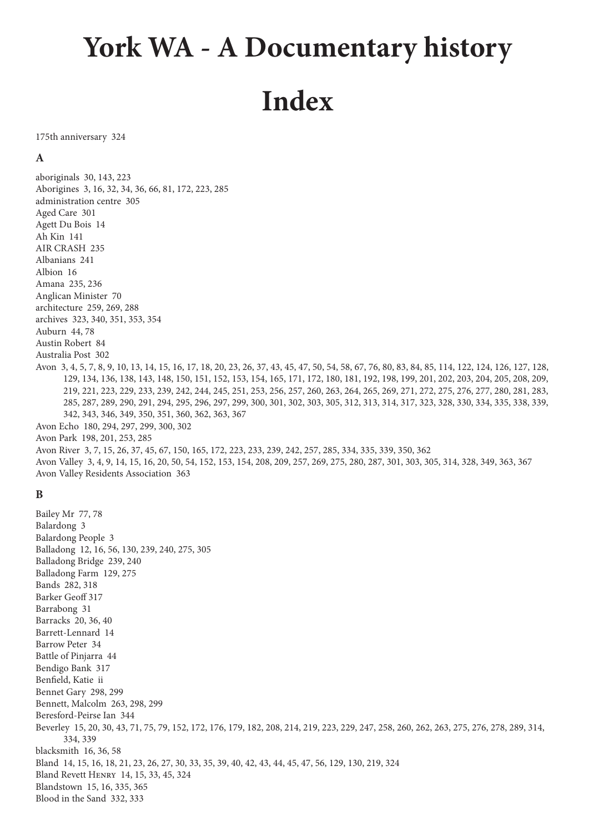# **York WA - A Documentary history Index**

175th anniversary 324

# **A**

aboriginals 30, 143, 223 Aborigines 3, 16, 32, 34, 36, 66, 81, 172, 223, 285 administration centre 305 Aged Care 301 Agett Du Bois 14 Ah Kin 141 AIR CRASH 235 Albanians 241 Albion 16 Amana 235, 236 Anglican Minister 70 architecture 259, 269, 288 archives 323, 340, 351, 353, 354 Auburn 44, 78 Austin Robert 84 Australia Post 302 Avon 3, 4, 5, 7, 8, 9, 10, 13, 14, 15, 16, 17, 18, 20, 23, 26, 37, 43, 45, 47, 50, 54, 58, 67, 76, 80, 83, 84, 85, 114, 122, 124, 126, 127, 128, 129, 134, 136, 138, 143, 148, 150, 151, 152, 153, 154, 165, 171, 172, 180, 181, 192, 198, 199, 201, 202, 203, 204, 205, 208, 209, 219, 221, 223, 229, 233, 239, 242, 244, 245, 251, 253, 256, 257, 260, 263, 264, 265, 269, 271, 272, 275, 276, 277, 280, 281, 283, 285, 287, 289, 290, 291, 294, 295, 296, 297, 299, 300, 301, 302, 303, 305, 312, 313, 314, 317, 323, 328, 330, 334, 335, 338, 339, 342, 343, 346, 349, 350, 351, 360, 362, 363, 367 Avon Echo 180, 294, 297, 299, 300, 302 Avon Park 198, 201, 253, 285 Avon River 3, 7, 15, 26, 37, 45, 67, 150, 165, 172, 223, 233, 239, 242, 257, 285, 334, 335, 339, 350, 362 Avon Valley 3, 4, 9, 14, 15, 16, 20, 50, 54, 152, 153, 154, 208, 209, 257, 269, 275, 280, 287, 301, 303, 305, 314, 328, 349, 363, 367 Avon Valley Residents Association 363

# **B**

Bailey Mr 77, 78 Balardong 3 Balardong People 3 Balladong 12, 16, 56, 130, 239, 240, 275, 305 Balladong Bridge 239, 240 Balladong Farm 129, 275 Bands 282, 318 Barker Geoff 317 Barrabong 31 Barracks 20, 36, 40 Barrett-Lennard 14 Barrow Peter 34 Battle of Pinjarra 44 Bendigo Bank 317 Benfield, Katie ii Bennet Gary 298, 299 Bennett, Malcolm 263, 298, 299 Beresford-Peirse Ian 344 Beverley 15, 20, 30, 43, 71, 75, 79, 152, 172, 176, 179, 182, 208, 214, 219, 223, 229, 247, 258, 260, 262, 263, 275, 276, 278, 289, 314, 334, 339 blacksmith 16, 36, 58 Bland 14, 15, 16, 18, 21, 23, 26, 27, 30, 33, 35, 39, 40, 42, 43, 44, 45, 47, 56, 129, 130, 219, 324 Bland Revett Henry 14, 15, 33, 45, 324 Blandstown 15, 16, 335, 365 Blood in the Sand 332, 333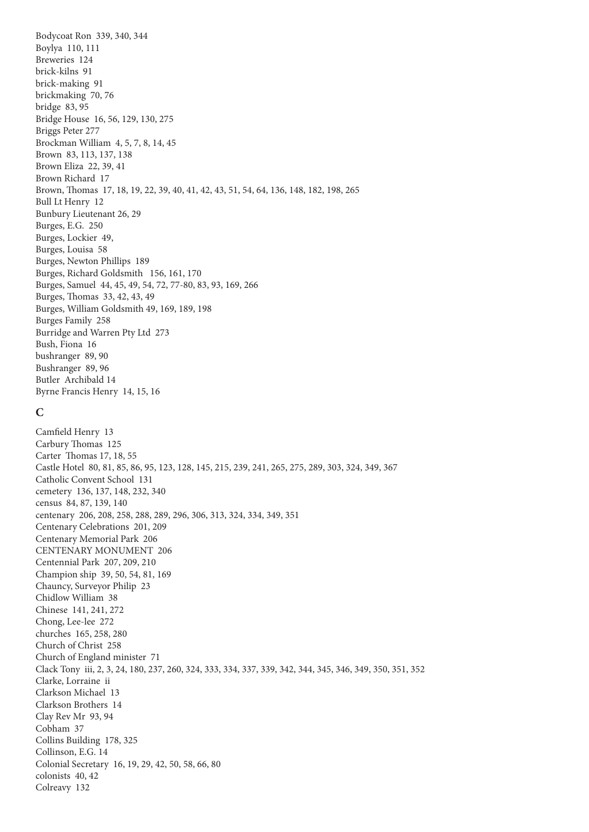Bodycoat Ron 339, 340, 344 Boylya 110, 111 Breweries 124 brick-kilns 91 brick-making 91 brickmaking 70, 76 bridge 83, 95 Bridge House 16, 56, 129, 130, 275 Briggs Peter 277 Brockman William 4, 5, 7, 8, 14, 45 Brown 83, 113, 137, 138 Brown Eliza 22, 39, 41 Brown Richard 17 Brown, Thomas 17, 18, 19, 22, 39, 40, 41, 42, 43, 51, 54, 64, 136, 148, 182, 198, 265 Bull Lt Henry 12 Bunbury Lieutenant 26, 29 Burges, E.G. 250 Burges, Lockier 49, Burges, Louisa 58 Burges, Newton Phillips 189 Burges, Richard Goldsmith 156, 161, 170 Burges, Samuel 44, 45, 49, 54, 72, 77-80, 83, 93, 169, 266 Burges, Thomas 33, 42, 43, 49 Burges, William Goldsmith 49, 169, 189, 198 Burges Family 258 Burridge and Warren Pty Ltd 273 Bush, Fiona 16 bushranger 89, 90 Bushranger 89, 96 Butler Archibald 14 Byrne Francis Henry 14, 15, 16 **C** Camfield Henry 13 Carbury Thomas 125 Carter Thomas 17, 18, 55 Castle Hotel 80, 81, 85, 86, 95, 123, 128, 145, 215, 239, 241, 265, 275, 289, 303, 324, 349, 367 Catholic Convent School 131 cemetery 136, 137, 148, 232, 340 census 84, 87, 139, 140 centenary 206, 208, 258, 288, 289, 296, 306, 313, 324, 334, 349, 351 Centenary Celebrations 201, 209 Centenary Memorial Park 206 CENTENARY MONUMENT 206 Centennial Park 207, 209, 210 Champion ship 39, 50, 54, 81, 169 Chauncy, Surveyor Philip 23 Chidlow William 38 Chinese 141, 241, 272 Chong, Lee-lee 272 churches 165, 258, 280 Church of Christ 258 Church of England minister 71 Clack Tony iii, 2, 3, 24, 180, 237, 260, 324, 333, 334, 337, 339, 342, 344, 345, 346, 349, 350, 351, 352 Clarke, Lorraine ii Clarkson Michael 13 Clarkson Brothers 14 Clay Rev Mr 93, 94 Cobham 37 Collins Building 178, 325 Collinson, E.G. 14 Colonial Secretary 16, 19, 29, 42, 50, 58, 66, 80 colonists 40, 42

Colreavy 132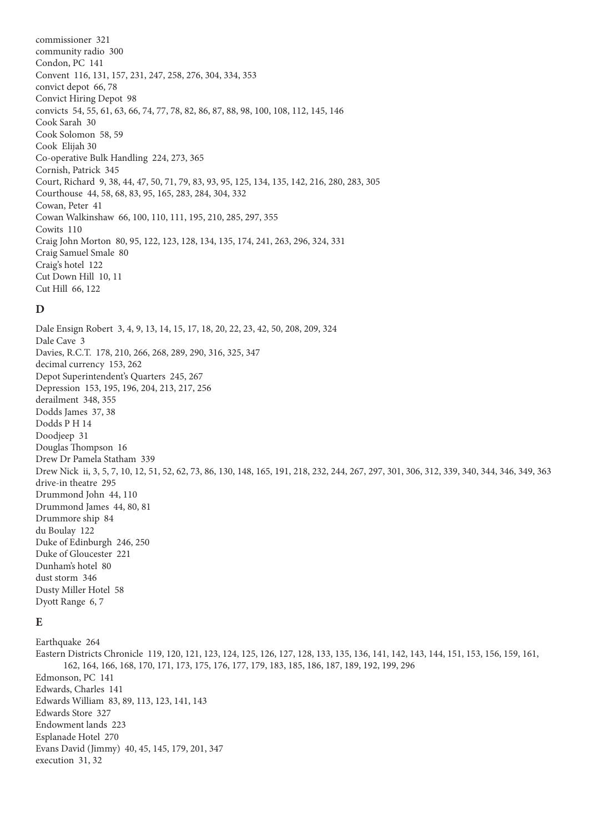commissioner 321 community radio 300 Condon, PC 141 Convent 116, 131, 157, 231, 247, 258, 276, 304, 334, 353 convict depot 66, 78 Convict Hiring Depot 98 convicts 54, 55, 61, 63, 66, 74, 77, 78, 82, 86, 87, 88, 98, 100, 108, 112, 145, 146 Cook Sarah 30 Cook Solomon 58, 59 Cook Elijah 30 Co-operative Bulk Handling 224, 273, 365 Cornish, Patrick 345 Court, Richard 9, 38, 44, 47, 50, 71, 79, 83, 93, 95, 125, 134, 135, 142, 216, 280, 283, 305 Courthouse 44, 58, 68, 83, 95, 165, 283, 284, 304, 332 Cowan, Peter 41 Cowan Walkinshaw 66, 100, 110, 111, 195, 210, 285, 297, 355 Cowits 110 Craig John Morton 80, 95, 122, 123, 128, 134, 135, 174, 241, 263, 296, 324, 331 Craig Samuel Smale 80 Craig's hotel 122 Cut Down Hill 10, 11 Cut Hill 66, 122

# **D**

Dale Ensign Robert 3, 4, 9, 13, 14, 15, 17, 18, 20, 22, 23, 42, 50, 208, 209, 324 Dale Cave 3 Davies, R.C.T. 178, 210, 266, 268, 289, 290, 316, 325, 347 decimal currency 153, 262 Depot Superintendent's Quarters 245, 267 Depression 153, 195, 196, 204, 213, 217, 256 derailment 348, 355 Dodds James 37, 38 Dodds P H 14 Doodjeep 31 Douglas Thompson 16 Drew Dr Pamela Statham 339 Drew Nick ii, 3, 5, 7, 10, 12, 51, 52, 62, 73, 86, 130, 148, 165, 191, 218, 232, 244, 267, 297, 301, 306, 312, 339, 340, 344, 346, 349, 363 drive-in theatre 295 Drummond John 44, 110 Drummond James 44, 80, 81 Drummore ship 84 du Boulay 122 Duke of Edinburgh 246, 250 Duke of Gloucester 221 Dunham's hotel 80 dust storm 346 Dusty Miller Hotel 58 Dyott Range 6, 7

# **E**

Earthquake 264 Eastern Districts Chronicle 119, 120, 121, 123, 124, 125, 126, 127, 128, 133, 135, 136, 141, 142, 143, 144, 151, 153, 156, 159, 161, 162, 164, 166, 168, 170, 171, 173, 175, 176, 177, 179, 183, 185, 186, 187, 189, 192, 199, 296 Edmonson, PC 141 Edwards, Charles 141 Edwards William 83, 89, 113, 123, 141, 143 Edwards Store 327 Endowment lands 223 Esplanade Hotel 270 Evans David (Jimmy) 40, 45, 145, 179, 201, 347 execution 31, 32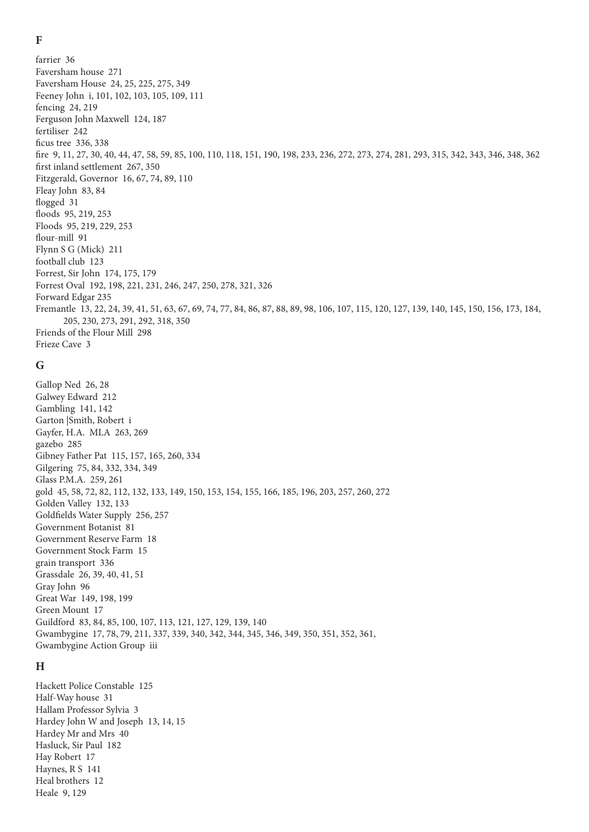$\mathbf{F}$ 

farrier 36 Faversham house 271 Faversham House 24, 25, 225, 275, 349 Feeney John i, 101, 102, 103, 105, 109, 111 fencing 24, 219 Ferguson John Maxwell 124, 187 fertiliser 242 ficus tree 336, 338 fire 9, 11, 27, 30, 40, 44, 47, 58, 59, 85, 100, 110, 118, 151, 190, 198, 233, 236, 272, 273, 274, 281, 293, 315, 342, 343, 346, 348, 362 first inland settlement 267, 350 Fitzgerald, Governor 16, 67, 74, 89, 110 Fleay John 83, 84 flogged 31 floods 95, 219, 253 Floods 95, 219, 229, 253 flour-mill 91 Flynn S G (Mick) 211 football club 123 Forrest, Sir John 174, 175, 179 Forrest Oval 192, 198, 221, 231, 246, 247, 250, 278, 321, 326 Forward Edgar 235 Fremantle 13, 22, 24, 39, 41, 51, 63, 67, 69, 74, 77, 84, 86, 87, 88, 89, 98, 106, 107, 115, 120, 127, 139, 140, 145, 150, 156, 173, 184, 205, 230, 273, 291, 292, 318, 350 Friends of the Flour Mill 298 Frieze Cave 3

# G

Gallop Ned 26, 28 Galwey Edward 212 Gambling 141, 142 Garton Smith, Robert i Gayfer, H.A. MLA 263, 269 gazebo 285 Gibney Father Pat 115, 157, 165, 260, 334 Gilgering 75, 84, 332, 334, 349 Glass P.M.A. 259, 261 gold 45, 58, 72, 82, 112, 132, 133, 149, 150, 153, 154, 155, 166, 185, 196, 203, 257, 260, 272 Golden Valley 132, 133 Goldfields Water Supply 256, 257 Government Botanist 81 Government Reserve Farm 18 Government Stock Farm 15 grain transport 336 Grassdale 26, 39, 40, 41, 51 Gray John 96 Great War 149, 198, 199 Green Mount 17 Guildford 83, 84, 85, 100, 107, 113, 121, 127, 129, 139, 140 Gwambygine 17, 78, 79, 211, 337, 339, 340, 342, 344, 345, 346, 349, 350, 351, 352, 361, Gwambygine Action Group iii

# $H$

Hackett Police Constable 125 Half-Way house 31 Hallam Professor Svlvia 3 Hardey John W and Joseph 13, 14, 15 Hardey Mr and Mrs 40 Hasluck, Sir Paul 182 Hav Robert 17 Haynes, R S 141 Heal brothers 12 Heale 9, 129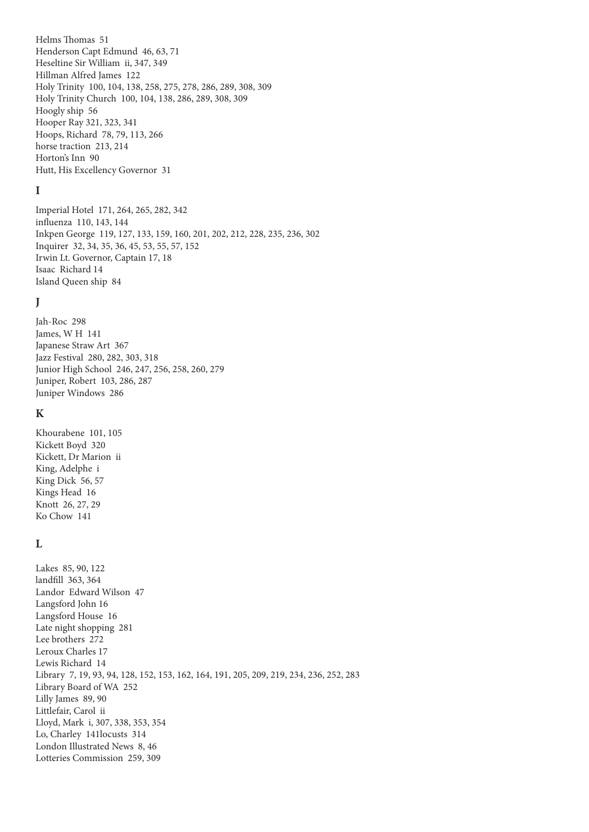Helms Thomas 51 Henderson Capt Edmund 46, 63, 71 Heseltine Sir William ii, 347, 349 Hillman Alfred James 122 Holy Trinity 100, 104, 138, 258, 275, 278, 286, 289, 308, 309 Holy Trinity Church 100, 104, 138, 286, 289, 308, 309 Hoogly ship 56 Hooper Ray 321, 323, 341 Hoops, Richard 78, 79, 113, 266 horse traction 213, 214 Horton's Inn 90 Hutt, His Excellency Governor 31

# **I**

Imperial Hotel 171, 264, 265, 282, 342 influenza 110, 143, 144 Inkpen George 119, 127, 133, 159, 160, 201, 202, 212, 228, 235, 236, 302 Inquirer 32, 34, 35, 36, 45, 53, 55, 57, 152 Irwin Lt. Governor, Captain 17, 18 Isaac Richard 14 Island Queen ship 84

# **J**

Jah-Roc 298 James, W H 141 Japanese Straw Art 367 Jazz Festival 280, 282, 303, 318 Junior High School 246, 247, 256, 258, 260, 279 Juniper, Robert 103, 286, 287 Juniper Windows 286

## **K**

Khourabene 101, 105 Kickett Boyd 320 Kickett, Dr Marion ii King, Adelphe i King Dick 56, 57 Kings Head 16 Knott 26, 27, 29 Ko Chow 141

# **L**

Lakes 85, 90, 122 landfill 363, 364 Landor Edward Wilson 47 Langsford John 16 Langsford House 16 Late night shopping 281 Lee brothers 272 Leroux Charles 17 Lewis Richard 14 Library 7, 19, 93, 94, 128, 152, 153, 162, 164, 191, 205, 209, 219, 234, 236, 252, 283 Library Board of WA 252 Lilly James 89, 90 Littlefair, Carol ii Lloyd, Mark i, 307, 338, 353, 354 Lo, Charley 141locusts 314 London Illustrated News 8, 46 Lotteries Commission 259, 309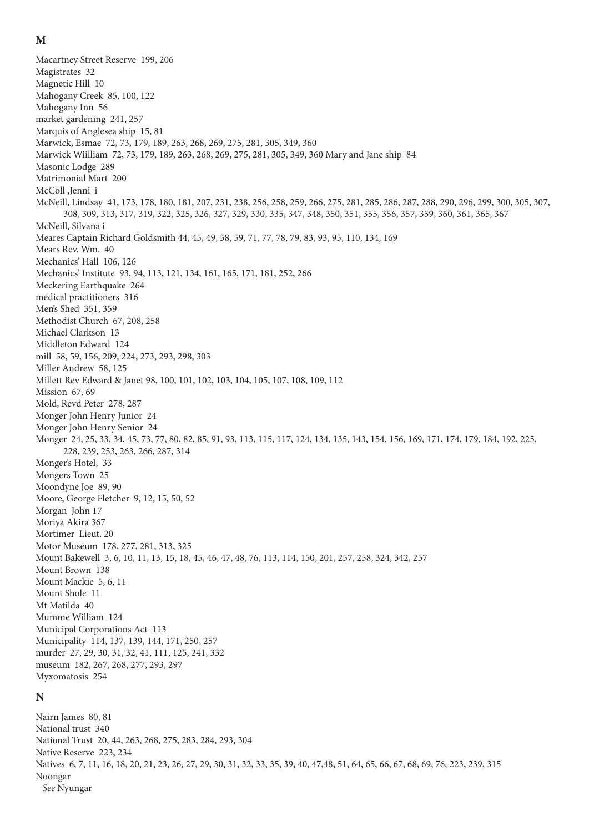#### **M**

Macartney Street Reserve 199, 206 Magistrates 32 Magnetic Hill 10 Mahogany Creek 85, 100, 122 Mahogany Inn 56 market gardening 241, 257 Marquis of Anglesea ship 15, 81 Marwick, Esmae 72, 73, 179, 189, 263, 268, 269, 275, 281, 305, 349, 360 Marwick Wiilliam 72, 73, 179, 189, 263, 268, 269, 275, 281, 305, 349, 360 Mary and Jane ship 84 Masonic Lodge 289 Matrimonial Mart 200 McColl ,Jenni i McNeill, Lindsay 41, 173, 178, 180, 181, 207, 231, 238, 256, 258, 259, 266, 275, 281, 285, 286, 287, 288, 290, 296, 299, 300, 305, 307, 308, 309, 313, 317, 319, 322, 325, 326, 327, 329, 330, 335, 347, 348, 350, 351, 355, 356, 357, 359, 360, 361, 365, 367 McNeill, Silvana i Meares Captain Richard Goldsmith 44, 45, 49, 58, 59, 71, 77, 78, 79, 83, 93, 95, 110, 134, 169 Mears Rev. Wm. 40 Mechanics' Hall 106, 126 Mechanics' Institute 93, 94, 113, 121, 134, 161, 165, 171, 181, 252, 266 Meckering Earthquake 264 medical practitioners 316 Men's Shed 351, 359 Methodist Church 67, 208, 258 Michael Clarkson 13 Middleton Edward 124 mill 58, 59, 156, 209, 224, 273, 293, 298, 303 Miller Andrew 58, 125 Millett Rev Edward & Janet 98, 100, 101, 102, 103, 104, 105, 107, 108, 109, 112 Mission 67, 69 Mold, Revd Peter 278, 287 Monger John Henry Junior 24 Monger John Henry Senior 24 Monger 24, 25, 33, 34, 45, 73, 77, 80, 82, 85, 91, 93, 113, 115, 117, 124, 134, 135, 143, 154, 156, 169, 171, 174, 179, 184, 192, 225, 228, 239, 253, 263, 266, 287, 314 Monger's Hotel, 33 Mongers Town 25 Moondyne Joe 89, 90 Moore, George Fletcher 9, 12, 15, 50, 52 Morgan John 17 Moriya Akira 367 Mortimer Lieut. 20 Motor Museum 178, 277, 281, 313, 325 Mount Bakewell 3, 6, 10, 11, 13, 15, 18, 45, 46, 47, 48, 76, 113, 114, 150, 201, 257, 258, 324, 342, 257 Mount Brown 138 Mount Mackie 5, 6, 11 Mount Shole 11 Mt Matilda 40 Mumme William 124 Municipal Corporations Act 113 Municipality 114, 137, 139, 144, 171, 250, 257 murder 27, 29, 30, 31, 32, 41, 111, 125, 241, 332 museum 182, 267, 268, 277, 293, 297 Myxomatosis 254 **N** Nairn James 80, 81 National trust 340 National Trust 20, 44, 263, 268, 275, 283, 284, 293, 304 Native Reserve 223, 234

Natives 6, 7, 11, 16, 18, 20, 21, 23, 26, 27, 29, 30, 31, 32, 33, 35, 39, 40, 47,48, 51, 64, 65, 66, 67, 68, 69, 76, 223, 239, 315 Noongar

*See* Nyungar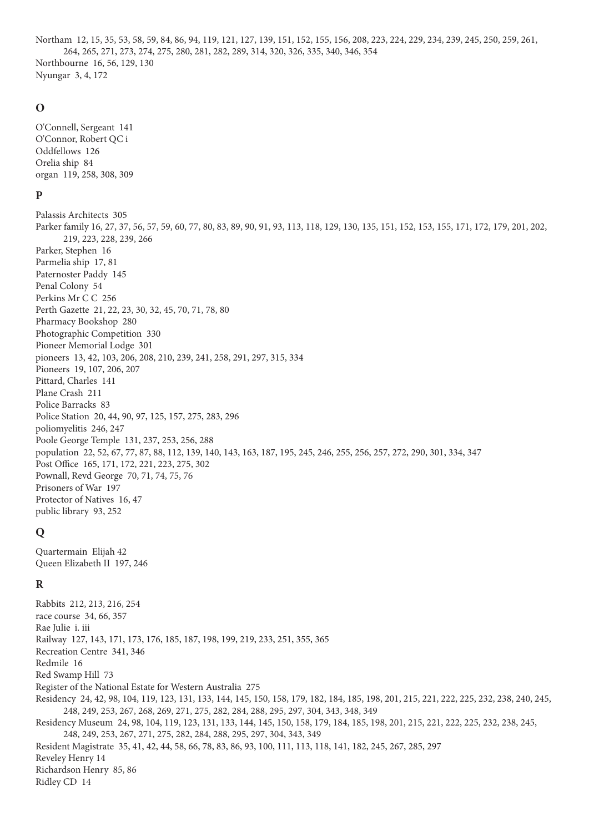Northam 12, 15, 35, 53, 58, 59, 84, 86, 94, 119, 121, 127, 139, 151, 152, 155, 156, 208, 223, 224, 229, 234, 239, 245, 250, 259, 261, 264, 265, 271, 273, 274, 275, 280, 281, 282, 289, 314, 320, 326, 335, 340, 346, 354 Northbourne 16, 56, 129, 130 Nyungar 3, 4, 172

## $\mathbf 0$

O'Connell, Sergeant 141 O'Connor, Robert QC i Oddfellows 126 Orelia ship 84 organ 119, 258, 308, 309

# $\mathbf{p}$

Palassis Architects 305 Parker family 16, 27, 37, 56, 57, 59, 60, 77, 80, 83, 89, 90, 91, 93, 113, 118, 129, 130, 135, 151, 152, 153, 155, 171, 172, 179, 201, 202, 219, 223, 228, 239, 266 Parker, Stephen 16 Parmelia ship 17, 81 Paternoster Paddy 145 Penal Colony 54 Perkins Mr C C 256 Perth Gazette 21, 22, 23, 30, 32, 45, 70, 71, 78, 80 Pharmacy Bookshop 280 Photographic Competition 330 Pioneer Memorial Lodge 301 pioneers 13, 42, 103, 206, 208, 210, 239, 241, 258, 291, 297, 315, 334 Pioneers 19, 107, 206, 207 Pittard, Charles 141 Plane Crash 211 Police Barracks 83 Police Station 20, 44, 90, 97, 125, 157, 275, 283, 296 poliomyelitis 246, 247 Poole George Temple 131, 237, 253, 256, 288 population 22, 52, 67, 77, 87, 88, 112, 139, 140, 143, 163, 187, 195, 245, 246, 255, 256, 257, 272, 290, 301, 334, 347 Post Office 165, 171, 172, 221, 223, 275, 302 Pownall, Revd George 70, 71, 74, 75, 76 Prisoners of War 197 Protector of Natives 16, 47 public library 93, 252

# Q

Quartermain Elijah 42 Queen Elizabeth II 197, 246

# $\bf{R}$

Rabbits 212, 213, 216, 254 race course 34, 66, 357 Rae Julie i. iii Railway 127, 143, 171, 173, 176, 185, 187, 198, 199, 219, 233, 251, 355, 365 Recreation Centre 341, 346 Redmile 16 Red Swamp Hill 73 Register of the National Estate for Western Australia 275 Residency 24, 42, 98, 104, 119, 123, 131, 133, 144, 145, 150, 158, 179, 182, 184, 185, 198, 201, 215, 221, 222, 225, 232, 238, 240, 245, 248, 249, 253, 267, 268, 269, 271, 275, 282, 284, 288, 295, 297, 304, 343, 348, 349 Residency Museum 24, 98, 104, 119, 123, 131, 133, 144, 145, 150, 158, 179, 184, 185, 198, 201, 215, 221, 222, 225, 232, 238, 245, 248, 249, 253, 267, 271, 275, 282, 284, 288, 295, 297, 304, 343, 349 Resident Magistrate 35, 41, 42, 44, 58, 66, 78, 83, 86, 93, 100, 111, 113, 118, 141, 182, 245, 267, 285, 297 Reveley Henry 14 Richardson Henry 85, 86 Ridley CD 14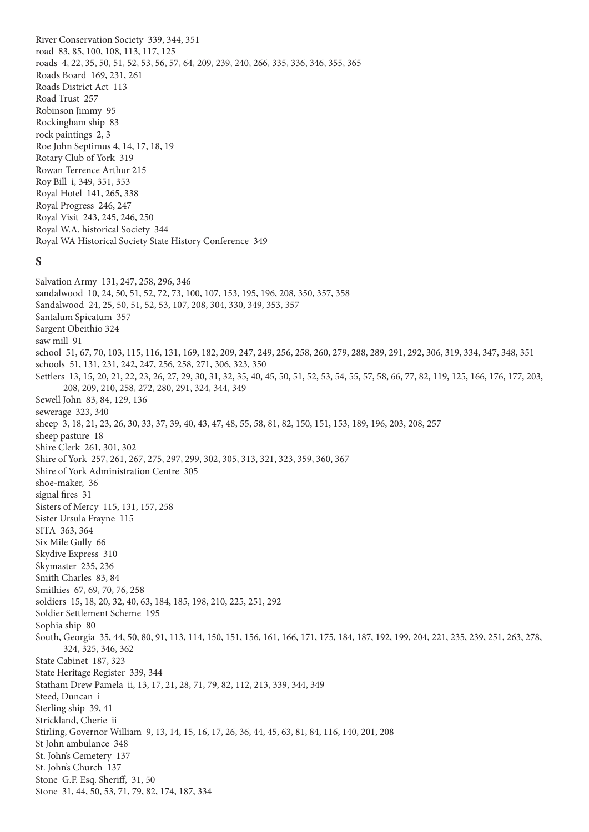River Conservation Society 339, 344, 351 road 83, 85, 100, 108, 113, 117, 125 roads 4, 22, 35, 50, 51, 52, 53, 56, 57, 64, 209, 239, 240, 266, 335, 336, 346, 355, 365 Roads Board 169, 231, 261 Roads District Act 113 Road Trust 257 Robinson Jimmy 95 Rockingham ship 83 rock paintings 2, 3 Roe John Septimus 4, 14, 17, 18, 19 Rotary Club of York 319 Rowan Terrence Arthur 215 Roy Bill i, 349, 351, 353 Royal Hotel 141, 265, 338 Royal Progress 246, 247 Royal Visit 243, 245, 246, 250 Royal W.A. historical Society 344 Royal WA Historical Society State History Conference 349

## **S**

Salvation Army 131, 247, 258, 296, 346 sandalwood 10, 24, 50, 51, 52, 72, 73, 100, 107, 153, 195, 196, 208, 350, 357, 358 Sandalwood 24, 25, 50, 51, 52, 53, 107, 208, 304, 330, 349, 353, 357 Santalum Spicatum 357 Sargent Obeithio 324 saw mill 91 school 51, 67, 70, 103, 115, 116, 131, 169, 182, 209, 247, 249, 256, 258, 260, 279, 288, 289, 291, 292, 306, 319, 334, 347, 348, 351 schools 51, 131, 231, 242, 247, 256, 258, 271, 306, 323, 350 Settlers 13, 15, 20, 21, 22, 23, 26, 27, 29, 30, 31, 32, 35, 40, 45, 50, 51, 52, 53, 54, 55, 57, 58, 66, 77, 82, 119, 125, 166, 176, 177, 203, 208, 209, 210, 258, 272, 280, 291, 324, 344, 349 Sewell John 83, 84, 129, 136 sewerage 323, 340 sheep 3, 18, 21, 23, 26, 30, 33, 37, 39, 40, 43, 47, 48, 55, 58, 81, 82, 150, 151, 153, 189, 196, 203, 208, 257 sheep pasture 18 Shire Clerk 261, 301, 302 Shire of York 257, 261, 267, 275, 297, 299, 302, 305, 313, 321, 323, 359, 360, 367 Shire of York Administration Centre 305 shoe-maker, 36 signal fires 31 Sisters of Mercy 115, 131, 157, 258 Sister Ursula Frayne 115 SITA 363, 364 Six Mile Gully 66 Skydive Express 310 Skymaster 235, 236 Smith Charles 83, 84 Smithies 67, 69, 70, 76, 258 soldiers 15, 18, 20, 32, 40, 63, 184, 185, 198, 210, 225, 251, 292 Soldier Settlement Scheme 195 Sophia ship 80 South, Georgia 35, 44, 50, 80, 91, 113, 114, 150, 151, 156, 161, 166, 171, 175, 184, 187, 192, 199, 204, 221, 235, 239, 251, 263, 278, 324, 325, 346, 362 State Cabinet 187, 323 State Heritage Register 339, 344 Statham Drew Pamela ii, 13, 17, 21, 28, 71, 79, 82, 112, 213, 339, 344, 349 Steed, Duncan i Sterling ship 39, 41 Strickland, Cherie ii Stirling, Governor William 9, 13, 14, 15, 16, 17, 26, 36, 44, 45, 63, 81, 84, 116, 140, 201, 208 St John ambulance 348 St. John's Cemetery 137 St. John's Church 137 Stone G.F. Esq. Sheriff, 31, 50 Stone 31, 44, 50, 53, 71, 79, 82, 174, 187, 334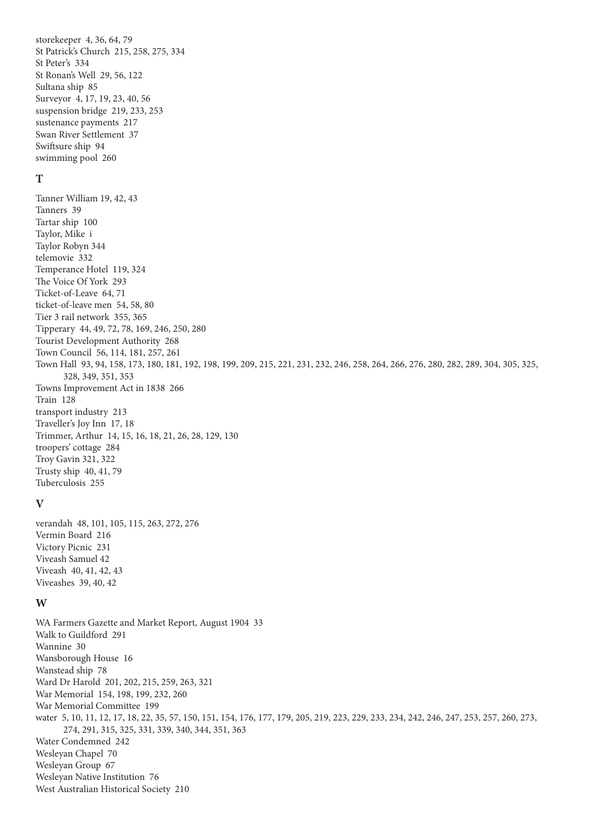storekeeper 4, 36, 64, 79 St Patrick's Church 215, 258, 275, 334 St Peter's 334 St Ronan's Well 29, 56, 122 Sultana ship 85 Surveyor 4, 17, 19, 23, 40, 56 suspension bridge 219, 233, 253 sustenance payments 217 Swan River Settlement 37 Swiftsure ship 94 swimming pool 260

# **T**

Tanner William 19, 42, 43 Tanners 39 Tartar ship 100 Taylor, Mike i Taylor Robyn 344 telemovie 332 Temperance Hotel 119, 324 The Voice Of York 293 Ticket-of-Leave 64, 71 ticket-of-leave men 54, 58, 80 Tier 3 rail network 355, 365 Tipperary 44, 49, 72, 78, 169, 246, 250, 280 Tourist Development Authority 268 Town Council 56, 114, 181, 257, 261 Town Hall 93, 94, 158, 173, 180, 181, 192, 198, 199, 209, 215, 221, 231, 232, 246, 258, 264, 266, 276, 280, 282, 289, 304, 305, 325, 328, 349, 351, 353 Towns Improvement Act in 1838 266 Train 128 transport industry 213 Traveller's Joy Inn 17, 18 Trimmer, Arthur 14, 15, 16, 18, 21, 26, 28, 129, 130 troopers' cottage 284 Troy Gavin 321, 322 Trusty ship 40, 41, 79 Tuberculosis 255

#### **V**

verandah 48, 101, 105, 115, 263, 272, 276 Vermin Board 216 Victory Picnic 231 Viveash Samuel 42 Viveash 40, 41, 42, 43 Viveashes 39, 40, 42

# **W**

WA Farmers Gazette and Market Report, August 1904 33 Walk to Guildford 291 Wannine 30 Wansborough House 16 Wanstead ship 78 Ward Dr Harold 201, 202, 215, 259, 263, 321 War Memorial 154, 198, 199, 232, 260 War Memorial Committee 199 water 5, 10, 11, 12, 17, 18, 22, 35, 57, 150, 151, 154, 176, 177, 179, 205, 219, 223, 229, 233, 234, 242, 246, 247, 253, 257, 260, 273, 274, 291, 315, 325, 331, 339, 340, 344, 351, 363 Water Condemned 242 Wesleyan Chapel 70 Wesleyan Group 67 Wesleyan Native Institution 76 West Australian Historical Society 210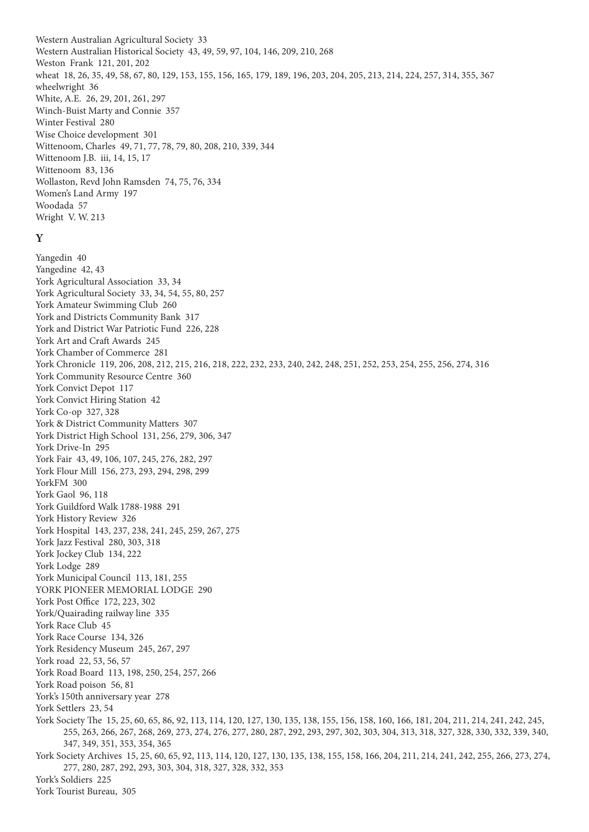Western Australian Agricultural Society 33 Western Australian Historical Society 43, 49, 59, 97, 104, 146, 209, 210, 268 Weston Frank 121, 201, 202 wheat 18, 26, 35, 49, 58, 67, 80, 129, 153, 155, 156, 165, 179, 189, 196, 203, 204, 205, 213, 214, 224, 257, 314, 355, 367 wheelwright 36 White, A.E. 26, 29, 201, 261, 297 Winch-Buist Marty and Connie 357 Winter Festival 280 Wise Choice development 301 Wittenoom, Charles 49, 71, 77, 78, 79, 80, 208, 210, 339, 344 Wittenoom J.B. iii, 14, 15, 17 Wittenoom 83, 136 Wollaston, Revd John Ramsden 74, 75, 76, 334 Women's Land Army 197 Woodada 57 Wright V. W. 213

# **Y**

Yangedin 40 Yangedine 42, 43 York Agricultural Association 33, 34 York Agricultural Society 33, 34, 54, 55, 80, 257 York Amateur Swimming Club 260 York and Districts Community Bank 317 York and District War Patriotic Fund 226, 228 York Art and Craft Awards 245 York Chamber of Commerce 281 York Chronicle 119, 206, 208, 212, 215, 216, 218, 222, 232, 233, 240, 242, 248, 251, 252, 253, 254, 255, 256, 274, 316 York Community Resource Centre 360 York Convict Depot 117 York Convict Hiring Station 42 York Co-op 327, 328 York & District Community Matters 307 York District High School 131, 256, 279, 306, 347 York Drive-In 295 York Fair 43, 49, 106, 107, 245, 276, 282, 297 York Flour Mill 156, 273, 293, 294, 298, 299 YorkFM 300 York Gaol 96, 118 York Guildford Walk 1788-1988 291 York History Review 326 York Hospital 143, 237, 238, 241, 245, 259, 267, 275 York Jazz Festival 280, 303, 318 York Jockey Club 134, 222 York Lodge 289 York Municipal Council 113, 181, 255 YORK PIONEER MEMORIAL LODGE 290 York Post Office 172, 223, 302 York/Quairading railway line 335 York Race Club 45 York Race Course 134, 326 York Residency Museum 245, 267, 297 York road 22, 53, 56, 57 York Road Board 113, 198, 250, 254, 257, 266 York Road poison 56, 81 York's 150th anniversary year 278 York Settlers 23, 54 York Society The 15, 25, 60, 65, 86, 92, 113, 114, 120, 127, 130, 135, 138, 155, 156, 158, 160, 166, 181, 204, 211, 214, 241, 242, 245, 255, 263, 266, 267, 268, 269, 273, 274, 276, 277, 280, 287, 292, 293, 297, 302, 303, 304, 313, 318, 327, 328, 330, 332, 339, 340, 347, 349, 351, 353, 354, 365 York Society Archives 15, 25, 60, 65, 92, 113, 114, 120, 127, 130, 135, 138, 155, 158, 166, 204, 211, 214, 241, 242, 255, 266, 273, 274, 277, 280, 287, 292, 293, 303, 304, 318, 327, 328, 332, 353 York's Soldiers 225 York Tourist Bureau, 305